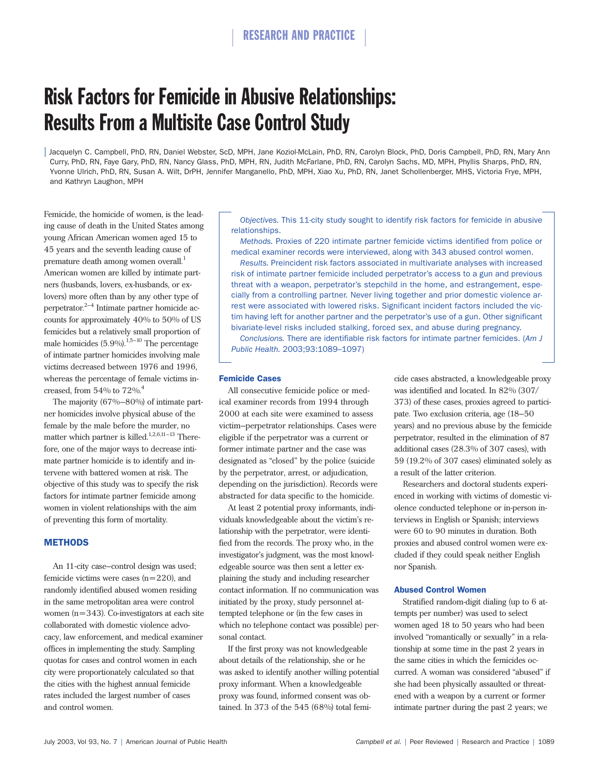# Risk Factors for Femicide in Abusive Relationships: Results From a Multisite Case Control Study

| Jacquelyn C. Campbell, PhD, RN, Daniel Webster, ScD, MPH, Jane Koziol-McLain, PhD, RN, Carolyn Block, PhD, Doris Campbell, PhD, RN, Mary Ann Curry, PhD, RN, Faye Gary, PhD, RN, Nancy Glass, PhD, MPH, RN, Judith McFarlane, PhD, RN, Carolyn Sachs, MD, MPH, Phyllis Sharps, PhD, RN, Yvonne Ulrich, PhD, RN, Susan A. Wilt, DrPH, Jennifer Manganello, PhD, MPH, Xiao Xu, PhD, RN, Janet Schollenberger, MHS, Victoria Frye, MPH, and Kathryn Laughon, MPH

Femicide, the homicide of women, is the leading cause of death in the United States among young African American women aged 15 to 45 years and the seventh leading cause of premature death among women overall.<sup>1</sup> American women are killed by intimate partners (husbands, lovers, ex-husbands, or exlovers) more often than by any other type of perpetrator. $2-4$  Intimate partner homicide accounts for approximately 40% to 50% of US femicides but a relatively small proportion of male homicides  $(5.9\%)$ <sup>1,5–10</sup> The percentage of intimate partner homicides involving male victims decreased between 1976 and 1996, whereas the percentage of female victims increased, from  $54\%$  to  $72\%$ <sup>4</sup>

The majority (67%–80%) of intimate partner homicides involve physical abuse of the female by the male before the murder, no matter which partner is killed.<sup>1,2,6,11-13</sup> Therefore, one of the major ways to decrease intimate partner homicide is to identify and intervene with battered women at risk. The objective of this study was to specify the risk factors for intimate partner femicide among women in violent relationships with the aim of preventing this form of mortality.

# **METHODS**

An 11-city case–control design was used; femicide victims were cases  $(n=220)$ , and randomly identified abused women residing in the same metropolitan area were control women (n=343). Co-investigators at each site collaborated with domestic violence advocacy, law enforcement, and medical examiner offices in implementing the study. Sampling quotas for cases and control women in each city were proportionately calculated so that the cities with the highest annual femicide rates included the largest number of cases and control women.

*Objectives.* This 11-city study sought to identify risk factors for femicide in abusive relationships.

*Methods.* Proxies of 220 intimate partner femicide victims identified from police or medical examiner records were interviewed, along with 343 abused control women.

*Results.* Preincident risk factors associated in multivariate analyses with increased risk of intimate partner femicide included perpetrator's access to a gun and previous threat with a weapon, perpetrator's stepchild in the home, and estrangement, especially from a controlling partner. Never living together and prior domestic violence arrest were associated with lowered risks. Significant incident factors included the victim having left for another partner and the perpetrator's use of a gun. Other significant bivariate-level risks included stalking, forced sex, and abuse during pregnancy.

*Conclusions.* There are identifiable risk factors for intimate partner femicides. (*Am J Public Health.* 2003;93:1089–1097)

### Femicide Cases

All consecutive femicide police or medical examiner records from 1994 through 2000 at each site were examined to assess victim–perpetrator relationships. Cases were eligible if the perpetrator was a current or former intimate partner and the case was designated as "closed" by the police (suicide by the perpetrator, arrest, or adjudication, depending on the jurisdiction). Records were abstracted for data specific to the homicide.

At least 2 potential proxy informants, individuals knowledgeable about the victim's relationship with the perpetrator, were identified from the records. The proxy who, in the investigator's judgment, was the most knowledgeable source was then sent a letter explaining the study and including researcher contact information. If no communication was initiated by the proxy, study personnel attempted telephone or (in the few cases in which no telephone contact was possible) personal contact.

If the first proxy was not knowledgeable about details of the relationship, she or he was asked to identify another willing potential proxy informant. When a knowledgeable proxy was found, informed consent was obtained. In 373 of the 545 (68%) total femicide cases abstracted, a knowledgeable proxy was identified and located. In 82% (307/ 373) of these cases, proxies agreed to participate. Two exclusion criteria, age (18–50 years) and no previous abuse by the femicide perpetrator, resulted in the elimination of 87 additional cases (28.3% of 307 cases), with 59 (19.2% of 307 cases) eliminated solely as a result of the latter criterion.

Researchers and doctoral students experienced in working with victims of domestic violence conducted telephone or in-person interviews in English or Spanish; interviews were 60 to 90 minutes in duration. Both proxies and abused control women were excluded if they could speak neither English nor Spanish.

### Abused Control Women

Stratified random-digit dialing (up to 6 attempts per number) was used to select women aged 18 to 50 years who had been involved "romantically or sexually" in a relationship at some time in the past 2 years in the same cities in which the femicides occurred. A woman was considered "abused" if she had been physically assaulted or threatened with a weapon by a current or former intimate partner during the past 2 years; we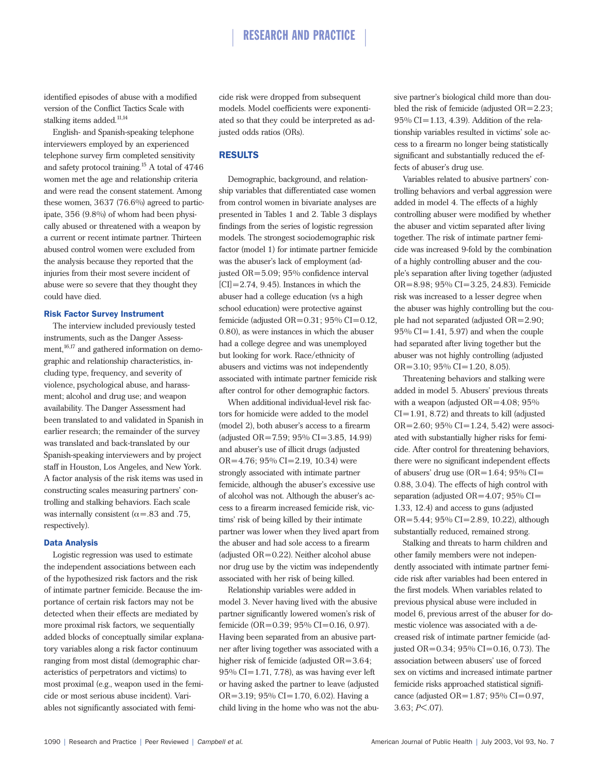identified episodes of abuse with a modified version of the Conflict Tactics Scale with stalking items added. $11,14$ 

English- and Spanish-speaking telephone interviewers employed by an experienced telephone survey firm completed sensitivity and safety protocol training.<sup>15</sup> A total of 4746 women met the age and relationship criteria and were read the consent statement. Among these women, 3637 (76.6%) agreed to participate, 356 (9.8%) of whom had been physically abused or threatened with a weapon by a current or recent intimate partner. Thirteen abused control women were excluded from the analysis because they reported that the injuries from their most severe incident of abuse were so severe that they thought they could have died.

#### Risk Factor Survey Instrument

The interview included previously tested instruments, such as the Danger Assessment,<sup>16,17</sup> and gathered information on demographic and relationship characteristics, including type, frequency, and severity of violence, psychological abuse, and harassment; alcohol and drug use; and weapon availability. The Danger Assessment had been translated to and validated in Spanish in earlier research; the remainder of the survey was translated and back-translated by our Spanish-speaking interviewers and by project staff in Houston, Los Angeles, and New York. A factor analysis of the risk items was used in constructing scales measuring partners' controlling and stalking behaviors. Each scale was internally consistent ( $\alpha$  = .83 and .75, respectively).

### Data Analysis

Logistic regression was used to estimate the independent associations between each of the hypothesized risk factors and the risk of intimate partner femicide. Because the importance of certain risk factors may not be detected when their effects are mediated by more proximal risk factors, we sequentially added blocks of conceptually similar explanatory variables along a risk factor continuum ranging from most distal (demographic characteristics of perpetrators and victims) to most proximal (e.g., weapon used in the femicide or most serious abuse incident). Variables not significantly associated with femi-

cide risk were dropped from subsequent models. Model coefficients were exponentiated so that they could be interpreted as adjusted odds ratios (ORs).

# RESULTS

Demographic, background, and relationship variables that differentiated case women from control women in bivariate analyses are presented in Tables 1 and 2. Table 3 displays findings from the series of logistic regression models. The strongest sociodemographic risk factor (model 1) for intimate partner femicide was the abuser's lack of employment (adjusted OR=5.09; 95% confidence interval  $[CI]=2.74$ , 9.45). Instances in which the abuser had a college education (vs a high school education) were protective against femicide (adjusted  $OR = 0.31$ ; 95%  $CI = 0.12$ , 0.80), as were instances in which the abuser had a college degree and was unemployed but looking for work. Race/ethnicity of abusers and victims was not independently associated with intimate partner femicide risk after control for other demographic factors.

When additional individual-level risk factors for homicide were added to the model (model 2), both abuser's access to a firearm (adjusted OR=7.59; 95% CI=3.85, 14.99) and abuser's use of illicit drugs (adjusted OR=4.76; 95% CI=2.19, 10.34) were strongly associated with intimate partner femicide, although the abuser's excessive use of alcohol was not. Although the abuser's access to a firearm increased femicide risk, victims' risk of being killed by their intimate partner was lower when they lived apart from the abuser and had sole access to a firearm (adjusted OR=0.22). Neither alcohol abuse nor drug use by the victim was independently associated with her risk of being killed.

Relationship variables were added in model 3. Never having lived with the abusive partner significantly lowered women's risk of femicide (OR=0.39; 95% CI=0.16, 0.97). Having been separated from an abusive partner after living together was associated with a higher risk of femicide (adjusted OR=3.64;  $95\%$  CI=1.71, 7.78), as was having ever left or having asked the partner to leave (adjusted OR=3.19; 95% CI=1.70, 6.02). Having a child living in the home who was not the abusive partner's biological child more than doubled the risk of femicide (adjusted OR=2.23;  $95\%$  CI=1.13, 4.39). Addition of the relationship variables resulted in victims' sole access to a firearm no longer being statistically significant and substantially reduced the effects of abuser's drug use.

Variables related to abusive partners' controlling behaviors and verbal aggression were added in model 4. The effects of a highly controlling abuser were modified by whether the abuser and victim separated after living together. The risk of intimate partner femicide was increased 9-fold by the combination of a highly controlling abuser and the couple's separation after living together (adjusted OR=8.98; 95% CI=3.25, 24.83). Femicide risk was increased to a lesser degree when the abuser was highly controlling but the couple had not separated (adjusted OR=2.90;  $95\%$  CI=1.41, 5.97) and when the couple had separated after living together but the abuser was not highly controlling (adjusted OR=3.10; 95% CI=1.20, 8.05).

Threatening behaviors and stalking were added in model 5. Abusers' previous threats with a weapon (adjusted OR=4.08; 95%  $CI=1.91, 8.72$ ) and threats to kill (adjusted OR=2.60; 95% CI=1.24, 5.42) were associated with substantially higher risks for femicide. After control for threatening behaviors, there were no significant independent effects of abusers' drug use  $(OR=1.64; 95\% \text{ CI} =$ 0.88, 3.04). The effects of high control with separation (adjusted OR=4.07; 95% CI= 1.33, 12.4) and access to guns (adjusted OR=5.44; 95% CI=2.89, 10.22), although substantially reduced, remained strong.

Stalking and threats to harm children and other family members were not independently associated with intimate partner femicide risk after variables had been entered in the first models. When variables related to previous physical abuse were included in model 6, previous arrest of the abuser for domestic violence was associated with a decreased risk of intimate partner femicide (adjusted OR=0.34; 95% CI=0.16, 0.73). The association between abusers' use of forced sex on victims and increased intimate partner femicide risks approached statistical significance (adjusted OR=1.87;  $95\%$  CI=0.97, 3.63; *P*<.07).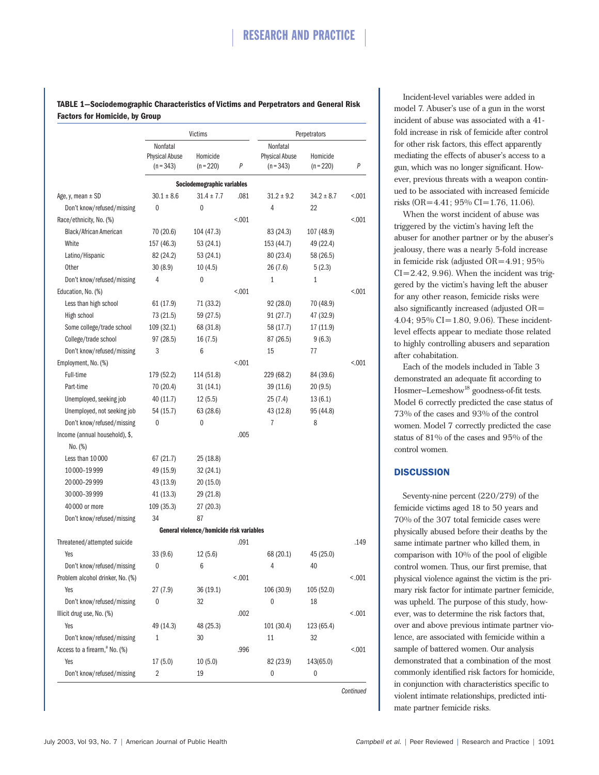## **TABLE 1—Sociodemographic Characteristics of Victims and Perpetrators and General Risk Factors for Homicide, by Group**

|                                           | Victims                                          |                                          |        | Perpetrators                                     |                       |         |  |
|-------------------------------------------|--------------------------------------------------|------------------------------------------|--------|--------------------------------------------------|-----------------------|---------|--|
|                                           | Nonfatal<br><b>Physical Abuse</b><br>$(n = 343)$ | Homicide<br>$(n = 220)$                  | Ρ      | Nonfatal<br><b>Physical Abuse</b><br>$(n = 343)$ | Homicide<br>(n = 220) | P       |  |
|                                           |                                                  | Sociodemographic variables               |        |                                                  |                       |         |  |
| Age, y, mean $\pm$ SD                     | $30.1 \pm 8.6$                                   | $31.4 \pm 7.7$                           | .081   | $31.2 \pm 9.2$                                   | $34.2 \pm 8.7$        | < 0.001 |  |
| Don't know/refused/missing                | 0                                                | $\mathbf 0$                              |        | 4                                                | 22                    |         |  |
| Race/ethnicity, No. (%)                   |                                                  |                                          | < .001 |                                                  |                       | < .001  |  |
| Black/African American                    | 70 (20.6)                                        | 104 (47.3)                               |        | 83 (24.3)                                        | 107 (48.9)            |         |  |
| White                                     | 157 (46.3)                                       | 53 (24.1)                                |        | 153 (44.7)                                       | 49 (22.4)             |         |  |
| Latino/Hispanic                           | 82 (24.2)                                        | 53 (24.1)                                |        | 80 (23.4)                                        | 58 (26.5)             |         |  |
| <b>Other</b>                              | 30(8.9)                                          | 10 (4.5)                                 |        | 26 (7.6)                                         | 5(2.3)                |         |  |
| Don't know/refused/missing                | 4                                                | $\mathbf{0}$                             |        | $\mathbf 1$                                      | 1                     |         |  |
| Education, No. (%)                        |                                                  |                                          | < .001 |                                                  |                       | < 0.001 |  |
| Less than high school                     | 61 (17.9)                                        | 71 (33.2)                                |        | 92 (28.0)                                        | 70 (48.9)             |         |  |
| High school                               | 73 (21.5)                                        | 59 (27.5)                                |        | 91 (27.7)                                        | 47 (32.9)             |         |  |
| Some college/trade school                 | 109 (32.1)                                       | 68 (31.8)                                |        | 58 (17.7)                                        | 17 (11.9)             |         |  |
| College/trade school                      | 97 (28.5)                                        | 16 (7.5)                                 |        | 87 (26.5)                                        | 9(6.3)                |         |  |
| Don't know/refused/missing                | 3                                                | 6                                        |        | 15                                               | 77                    |         |  |
| Employment, No. (%)                       |                                                  |                                          | < .001 |                                                  |                       | < 0.01  |  |
| Full-time                                 | 179 (52.2)                                       | 114 (51.8)                               |        | 229 (68.2)                                       | 84 (39.6)             |         |  |
| Part-time                                 | 70 (20.4)                                        | 31(14.1)                                 |        | 39 (11.6)                                        | 20 (9.5)              |         |  |
| Unemployed, seeking job                   | 40 (11.7)                                        | 12 (5.5)                                 |        | 25 (7.4)                                         | 13 (6.1)              |         |  |
| Unemployed, not seeking job               | 54 (15.7)                                        | 63 (28.6)                                |        | 43 (12.8)                                        | 95 (44.8)             |         |  |
| Don't know/refused/missing                | 0                                                | $\mathbf 0$                              |        | $\overline{7}$                                   | 8                     |         |  |
| Income (annual household), \$,<br>No. (%) |                                                  |                                          | .005   |                                                  |                       |         |  |
| Less than 10000                           | 67 (21.7)                                        | 25 (18.8)                                |        |                                                  |                       |         |  |
| 10000-19999                               | 49 (15.9)                                        | 32 (24.1)                                |        |                                                  |                       |         |  |
| 20 000-29 999                             | 43 (13.9)                                        | 20(15.0)                                 |        |                                                  |                       |         |  |
| 30 000-39 999                             | 41 (13.3)                                        | 29 (21.8)                                |        |                                                  |                       |         |  |
| 40 000 or more                            | 109 (35.3)                                       | 27 (20.3)                                |        |                                                  |                       |         |  |
| Don't know/refused/missing                | 34                                               | 87                                       |        |                                                  |                       |         |  |
|                                           |                                                  | General violence/homicide risk variables |        |                                                  |                       |         |  |
| Threatened/attempted suicide              |                                                  |                                          | .091   |                                                  |                       | .149    |  |
| Yes                                       | 33(9.6)                                          | 12(5.6)                                  |        | 68 (20.1)                                        | 45 (25.0)             |         |  |
| Don't know/refused/missing                | 0                                                | 6                                        |        | 4                                                | 40                    |         |  |
| Problem alcohol drinker, No. (%)          |                                                  |                                          | < .001 |                                                  |                       | < .001  |  |
| Yes                                       | 27(7.9)                                          | 36 (19.1)                                |        | 106 (30.9)                                       | 105 (52.0)            |         |  |
| Don't know/refused/missing                | 0                                                | 32                                       |        | 0                                                | 18                    |         |  |
| Illicit drug use, No. (%)                 |                                                  |                                          | .002   |                                                  |                       | < .001  |  |
| Yes                                       | 49 (14.3)                                        | 48 (25.3)                                |        | 101 (30.4)                                       | 123 (65.4)            |         |  |
| Don't know/refused/missing                | $\mathbf 1$                                      | 30                                       |        | 11                                               | 32                    |         |  |
| Access to a firearm, <sup>a</sup> No. (%) |                                                  |                                          | .996   |                                                  |                       | < .001  |  |
| Yes                                       | 17(5.0)                                          | 10(5.0)                                  |        | 82 (23.9)                                        | 143(65.0)             |         |  |
|                                           |                                                  |                                          |        |                                                  |                       |         |  |

Incident-level variables were added in model 7. Abuser's use of a gun in the worst incident of abuse was associated with a 41 fold increase in risk of femicide after control for other risk factors, this effect apparently mediating the effects of abuser's access to a gun, which was no longer significant. However, previous threats with a weapon continued to be associated with increased femicide risks (OR= $4.41$ ; 95% CI= $1.76$ , 11.06).

When the worst incident of abuse was triggered by the victim's having left the abuser for another partner or by the abuser's jealousy, there was a nearly 5-fold increase in femicide risk (adjusted  $OR=4.91$ ;  $95\%$  $CI=2.42$ , 9.96). When the incident was triggered by the victim's having left the abuser for any other reason, femicide risks were also significantly increased (adjusted OR= 4.04; 95% CI=1.80, 9.06). These incidentlevel effects appear to mediate those related to highly controlling abusers and separation after cohabitation.

Each of the models included in Table 3 demonstrated an adequate fit according to Hosmer–Lemeshow<sup>18</sup> goodness-of-fit tests. Model 6 correctly predicted the case status of 73% of the cases and 93% of the control women. Model 7 correctly predicted the case status of 81% of the cases and 95% of the control women.

## **DISCUSSION**

Seventy-nine percent (220/279) of the femicide victims aged 18 to 50 years and 70% of the 307 total femicide cases were physically abused before their deaths by the same intimate partner who killed them, in comparison with 10% of the pool of eligible control women. Thus, our first premise, that physical violence against the victim is the primary risk factor for intimate partner femicide, was upheld. The purpose of this study, however, was to determine the risk factors that, over and above previous intimate partner violence, are associated with femicide within a sample of battered women. Our analysis demonstrated that a combination of the most commonly identified risk factors for homicide, in conjunction with characteristics specific to violent intimate relationships, predicted intimate partner femicide risks.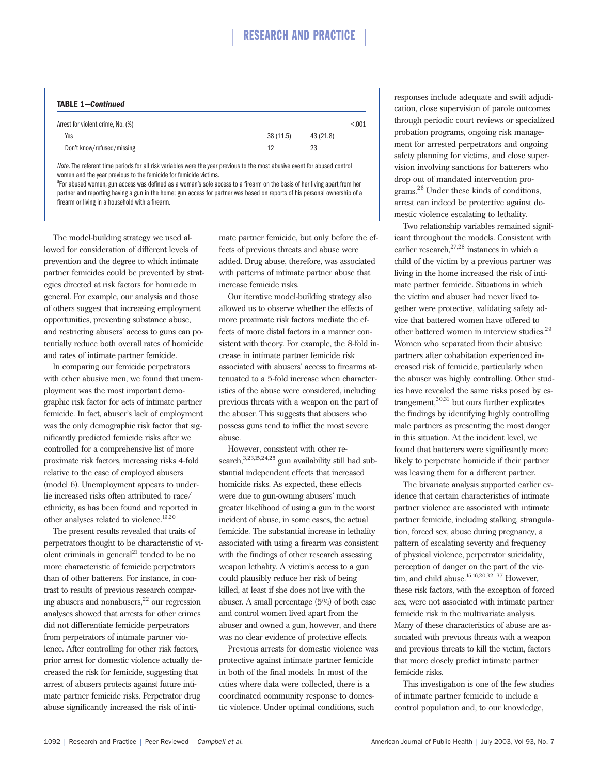#### **TABLE 1—***Continued*

| Arrest for violent crime, No. (%) |          |           | < 0.01 |
|-----------------------------------|----------|-----------|--------|
| Yes                               | 38(11.5) | 43 (21.8) |        |
| Don't know/refused/missing        | 12       | 23        |        |

*Note.* The referent time periods for all risk variables were the year previous to the most abusive event for abused control women and the year previous to the femicide for femicide victims.

<sup>a</sup>For abused women, gun access was defined as a woman's sole access to a firearm on the basis of her living apart from her partner and reporting having a gun in the home; gun access for partner was based on reports of his personal ownership of a firearm or living in a household with a firearm.

The model-building strategy we used allowed for consideration of different levels of prevention and the degree to which intimate partner femicides could be prevented by strategies directed at risk factors for homicide in general. For example, our analysis and those of others suggest that increasing employment opportunities, preventing substance abuse, and restricting abusers' access to guns can potentially reduce both overall rates of homicide and rates of intimate partner femicide.

In comparing our femicide perpetrators with other abusive men, we found that unemployment was the most important demographic risk factor for acts of intimate partner femicide. In fact, abuser's lack of employment was the only demographic risk factor that significantly predicted femicide risks after we controlled for a comprehensive list of more proximate risk factors, increasing risks 4-fold relative to the case of employed abusers (model 6). Unemployment appears to underlie increased risks often attributed to race/ ethnicity, as has been found and reported in other analyses related to violence.<sup>19,20</sup>

The present results revealed that traits of perpetrators thought to be characteristic of violent criminals in general $^{21}$  tended to be no more characteristic of femicide perpetrators than of other batterers. For instance, in contrast to results of previous research comparing abusers and nonabusers, $^{22}$  our regression analyses showed that arrests for other crimes did not differentiate femicide perpetrators from perpetrators of intimate partner violence. After controlling for other risk factors, prior arrest for domestic violence actually decreased the risk for femicide, suggesting that arrest of abusers protects against future intimate partner femicide risks. Perpetrator drug abuse significantly increased the risk of inti-

mate partner femicide, but only before the effects of previous threats and abuse were added. Drug abuse, therefore, was associated with patterns of intimate partner abuse that increase femicide risks.

Our iterative model-building strategy also allowed us to observe whether the effects of more proximate risk factors mediate the effects of more distal factors in a manner consistent with theory. For example, the 8-fold increase in intimate partner femicide risk associated with abusers' access to firearms attenuated to a 5-fold increase when characteristics of the abuse were considered, including previous threats with a weapon on the part of the abuser. This suggests that abusers who possess guns tend to inflict the most severe abuse.

However, consistent with other research,<sup>3,23,15,24,25</sup> gun availability still had substantial independent effects that increased homicide risks. As expected, these effects were due to gun-owning abusers' much greater likelihood of using a gun in the worst incident of abuse, in some cases, the actual femicide. The substantial increase in lethality associated with using a firearm was consistent with the findings of other research assessing weapon lethality. A victim's access to a gun could plausibly reduce her risk of being killed, at least if she does not live with the abuser. A small percentage (5%) of both case and control women lived apart from the abuser and owned a gun, however, and there was no clear evidence of protective effects.

Previous arrests for domestic violence was protective against intimate partner femicide in both of the final models. In most of the cities where data were collected, there is a coordinated community response to domestic violence. Under optimal conditions, such

responses include adequate and swift adjudication, close supervision of parole outcomes through periodic court reviews or specialized probation programs, ongoing risk management for arrested perpetrators and ongoing safety planning for victims, and close supervision involving sanctions for batterers who drop out of mandated intervention programs.<sup>26</sup> Under these kinds of conditions, arrest can indeed be protective against domestic violence escalating to lethality.

Two relationship variables remained significant throughout the models. Consistent with earlier research,<sup>27,28</sup> instances in which a child of the victim by a previous partner was living in the home increased the risk of intimate partner femicide. Situations in which the victim and abuser had never lived together were protective, validating safety advice that battered women have offered to other battered women in interview studies.<sup>29</sup> Women who separated from their abusive partners after cohabitation experienced increased risk of femicide, particularly when the abuser was highly controlling. Other studies have revealed the same risks posed by estrangement, $30,31$  but ours further explicates the findings by identifying highly controlling male partners as presenting the most danger in this situation. At the incident level, we found that batterers were significantly more likely to perpetrate homicide if their partner was leaving them for a different partner.

The bivariate analysis supported earlier evidence that certain characteristics of intimate partner violence are associated with intimate partner femicide, including stalking, strangulation, forced sex, abuse during pregnancy, a pattern of escalating severity and frequency of physical violence, perpetrator suicidality, perception of danger on the part of the victim, and child abuse.<sup>15,16,20,32-37</sup> However, these risk factors, with the exception of forced sex, were not associated with intimate partner femicide risk in the multivariate analysis. Many of these characteristics of abuse are associated with previous threats with a weapon and previous threats to kill the victim, factors that more closely predict intimate partner femicide risks.

This investigation is one of the few studies of intimate partner femicide to include a control population and, to our knowledge,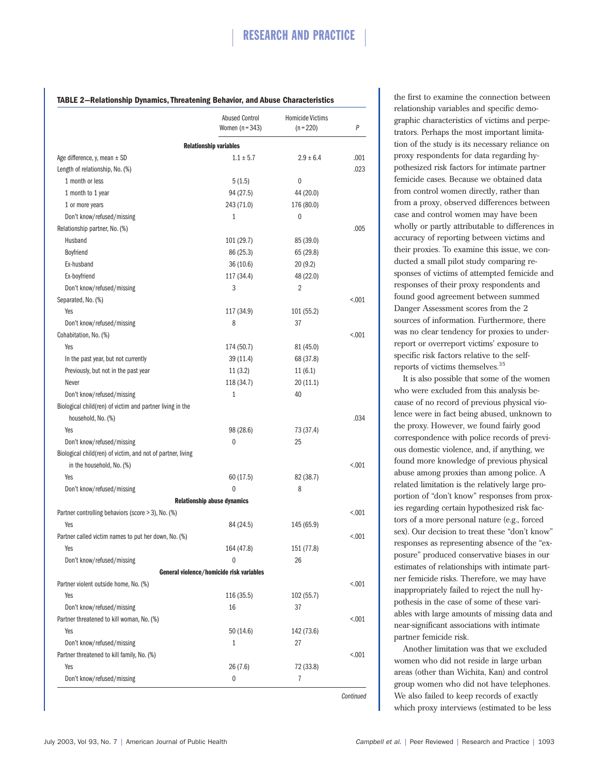### **TABLE 2—Relationship Dynamics, Threatening Behavior, and Abuse Characteristics**

|                                                             | <b>Abused Control</b><br>Women $(n = 343)$    | <b>Homicide Victims</b><br>$(n = 220)$ | P       |
|-------------------------------------------------------------|-----------------------------------------------|----------------------------------------|---------|
|                                                             | <b>Relationship variables</b>                 |                                        |         |
| Age difference, y, mean $\pm$ SD                            | $1.1 \pm 5.7$                                 | $2.9 \pm 6.4$                          | .001    |
| Length of relationship, No. (%)                             |                                               |                                        | .023    |
| 1 month or less                                             | 5(1.5)                                        | 0                                      |         |
| 1 month to 1 year                                           | 94 (27.5)                                     | 44 (20.0)                              |         |
| 1 or more years                                             | 243 (71.0)                                    | 176 (80.0)                             |         |
| Don't know/refused/missing                                  | 1                                             | 0                                      |         |
| Relationship partner, No. (%)                               |                                               |                                        | .005    |
| Husband                                                     | 101 (29.7)                                    | 85 (39.0)                              |         |
| Boyfriend                                                   | 86 (25.3)                                     | 65 (29.8)                              |         |
| Ex-husband                                                  | 36 (10.6)                                     | 20(9.2)                                |         |
| Ex-boyfriend                                                | 117 (34.4)                                    | 48 (22.0)                              |         |
| Don't know/refused/missing                                  | 3                                             | 2                                      |         |
| Separated, No. (%)                                          |                                               |                                        | < 0.001 |
| Yes                                                         | 117 (34.9)                                    | 101 (55.2)                             |         |
| Don't know/refused/missing                                  | 8                                             | 37                                     |         |
| Cohabitation, No. (%)                                       |                                               |                                        | < 0.001 |
| Yes                                                         | 174 (50.7)                                    | 81 (45.0)                              |         |
| In the past year, but not currently                         | 39 (11.4)                                     | 68 (37.8)                              |         |
| Previously, but not in the past year                        | 11(3.2)                                       | 11(6.1)                                |         |
| Never                                                       | 118 (34.7)                                    | 20 (11.1)                              |         |
| Don't know/refused/missing                                  | $\mathbf{1}$                                  | 40                                     |         |
| Biological child(ren) of victim and partner living in the   |                                               |                                        |         |
| household, No. (%)                                          |                                               |                                        | .034    |
| Yes                                                         | 98 (28.6)                                     | 73 (37.4)                              |         |
| Don't know/refused/missing                                  | $\mathbf{0}$                                  | 25                                     |         |
| Biological child(ren) of victim, and not of partner, living |                                               |                                        |         |
| in the household, No. (%)                                   |                                               |                                        | < .001  |
| Yes                                                         | 60 (17.5)                                     | 82 (38.7)                              |         |
| Don't know/refused/missing                                  | $\mathbf{0}$                                  | 8                                      |         |
|                                                             | <b>Relationship abuse dynamics</b>            |                                        |         |
| Partner controlling behaviors (score > 3), No. (%)          |                                               |                                        | < .001  |
| Yes                                                         | 84 (24.5)                                     | 145 (65.9)                             |         |
| Partner called victim names to put her down, No. (%)        |                                               |                                        | < 0.001 |
| Yes                                                         |                                               | 151 (77.8)                             |         |
|                                                             | 164 (47.8)                                    |                                        |         |
| Don't know/refused/missing                                  | 0<br>General violence/homicide risk variables | 26                                     |         |
|                                                             |                                               |                                        |         |
| Partner violent outside home, No. (%)                       |                                               |                                        | < .001  |
| Yes                                                         | 116 (35.5)                                    | 102 (55.7)                             |         |
| Don't know/refused/missing                                  | 16                                            | 37                                     |         |
| Partner threatened to kill woman, No. (%)                   |                                               |                                        | < 0.001 |
| Yes                                                         | 50 (14.6)                                     | 142 (73.6)                             |         |
| Don't know/refused/missing                                  | 1                                             | 27                                     |         |
| Partner threatened to kill family, No. (%)                  |                                               |                                        | < 0.001 |
| Yes                                                         | 26 (7.6)                                      | 72 (33.8)                              |         |
| Don't know/refused/missing                                  | $\boldsymbol{0}$                              | 7                                      |         |

the first to examine the connection between relationship variables and specific demographic characteristics of victims and perpetrators. Perhaps the most important limitation of the study is its necessary reliance on proxy respondents for data regarding hypothesized risk factors for intimate partner femicide cases. Because we obtained data from control women directly, rather than from a proxy, observed differences between case and control women may have been wholly or partly attributable to differences in accuracy of reporting between victims and their proxies. To examine this issue, we conducted a small pilot study comparing responses of victims of attempted femicide and responses of their proxy respondents and found good agreement between summed Danger Assessment scores from the 2 sources of information. Furthermore, there was no clear tendency for proxies to underreport or overreport victims' exposure to specific risk factors relative to the selfreports of victims themselves.<sup>35</sup>

It is also possible that some of the women who were excluded from this analysis because of no record of previous physical violence were in fact being abused, unknown to the proxy. However, we found fairly good correspondence with police records of previous domestic violence, and, if anything, we found more knowledge of previous physical abuse among proxies than among police. A related limitation is the relatively large proportion of "don't know" responses from proxies regarding certain hypothesized risk factors of a more personal nature (e.g., forced sex). Our decision to treat these "don't know" responses as representing absence of the "exposure" produced conservative biases in our estimates of relationships with intimate partner femicide risks. Therefore, we may have inappropriately failed to reject the null hypothesis in the case of some of these variables with large amounts of missing data and near-significant associations with intimate partner femicide risk.

Another limitation was that we excluded women who did not reside in large urban areas (other than Wichita, Kan) and control group women who did not have telephones. We also failed to keep records of exactly which proxy interviews (estimated to be less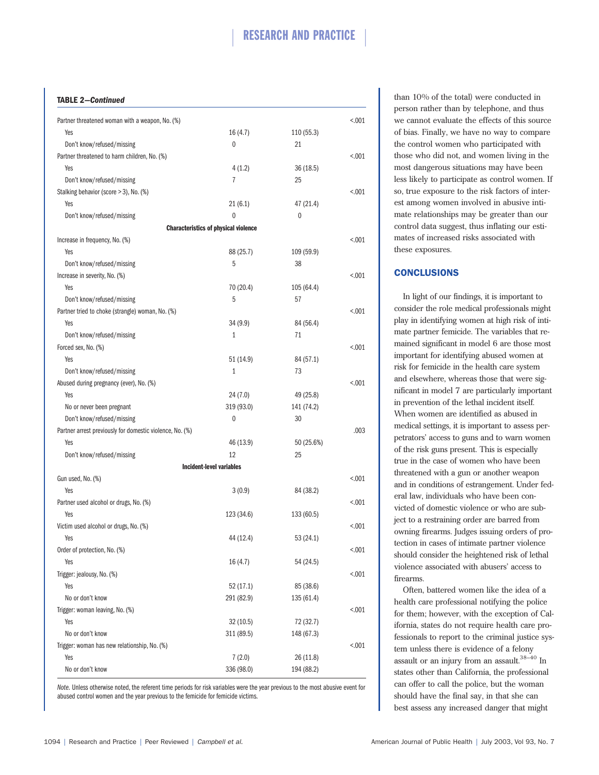### **TABLE 2—***Continued*

| Yes<br>16(4.7)<br>110 (55.3)<br>0<br>21<br>Don't know/refused/missing<br>Partner threatened to harm children, No. (%)<br>< 0.001<br>4(1.2)<br>Yes<br>36(18.5)<br>7<br>Don't know/refused/missing<br>25<br>Stalking behavior (score > 3), No. (%)<br>< 0.001<br>47 (21.4)<br>Yes<br>21 (6.1)<br>$\mathbf{0}$<br>0<br>Don't know/refused/missing<br><b>Characteristics of physical violence</b><br>< 0.001<br>Increase in frequency, No. (%)<br>88 (25.7)<br>Yes<br>109 (59.9)<br>5<br>Don't know/refused/missing<br>38<br>Increase in severity, No. (%)<br>< 0.01<br>Yes<br>70 (20.4)<br>105 (64.4)<br>Don't know/refused/missing<br>5<br>57<br>Partner tried to choke (strangle) woman, No. (%)<br>< 0.01<br>Yes<br>34 (9.9)<br>84 (56.4)<br>Don't know/refused/missing<br>1<br>71<br>Forced sex, No. (%)<br>< 0.01<br>51 (14.9)<br>Yes<br>84 (57.1)<br>Don't know/refused/missing<br>1<br>73<br>< .001<br>Abused during pregnancy (ever), No. (%)<br>Yes<br>24 (7.0)<br>49 (25.8)<br>No or never been pregnant<br>319 (93.0)<br>141 (74.2)<br>0<br>Don't know/refused/missing<br>30<br>.003<br>Partner arrest previously for domestic violence, No. (%)<br>Yes<br>46 (13.9)<br>50 (25.6%)<br>Don't know/refused/missing<br>12<br>25<br><b>Incident-level variables</b><br>< .001<br>Gun used, No. (%)<br>Yes<br>3(0.9)<br>84 (38.2)<br>< .001<br>Partner used alcohol or drugs, No. (%)<br>Yes<br>123 (34.6)<br>133 (60.5)<br>< .001<br>Victim used alcohol or drugs, No. (%)<br>Yes<br>44 (12.4)<br>53 (24.1)<br>Order of protection, No. (%)<br>< 0.001<br>Yes<br>16 (4.7)<br>54 (24.5)<br>Trigger: jealousy, No. (%)<br>< 0.01<br>Yes<br>52(17.1)<br>85 (38.6)<br>No or don't know<br>291 (82.9)<br>135 (61.4)<br>Trigger: woman leaving, No. (%)<br>< 0.01<br>Yes<br>32(10.5)<br>72 (32.7)<br>No or don't know<br>148 (67.3)<br>311 (89.5)<br>Trigger: woman has new relationship, No. (%)<br>< 0.01 | Partner threatened woman with a weapon, No. (%) |        |           | < .001 |
|-----------------------------------------------------------------------------------------------------------------------------------------------------------------------------------------------------------------------------------------------------------------------------------------------------------------------------------------------------------------------------------------------------------------------------------------------------------------------------------------------------------------------------------------------------------------------------------------------------------------------------------------------------------------------------------------------------------------------------------------------------------------------------------------------------------------------------------------------------------------------------------------------------------------------------------------------------------------------------------------------------------------------------------------------------------------------------------------------------------------------------------------------------------------------------------------------------------------------------------------------------------------------------------------------------------------------------------------------------------------------------------------------------------------------------------------------------------------------------------------------------------------------------------------------------------------------------------------------------------------------------------------------------------------------------------------------------------------------------------------------------------------------------------------------------------------------------------------------------------------------------------------------------------|-------------------------------------------------|--------|-----------|--------|
|                                                                                                                                                                                                                                                                                                                                                                                                                                                                                                                                                                                                                                                                                                                                                                                                                                                                                                                                                                                                                                                                                                                                                                                                                                                                                                                                                                                                                                                                                                                                                                                                                                                                                                                                                                                                                                                                                                           |                                                 |        |           |        |
|                                                                                                                                                                                                                                                                                                                                                                                                                                                                                                                                                                                                                                                                                                                                                                                                                                                                                                                                                                                                                                                                                                                                                                                                                                                                                                                                                                                                                                                                                                                                                                                                                                                                                                                                                                                                                                                                                                           |                                                 |        |           |        |
|                                                                                                                                                                                                                                                                                                                                                                                                                                                                                                                                                                                                                                                                                                                                                                                                                                                                                                                                                                                                                                                                                                                                                                                                                                                                                                                                                                                                                                                                                                                                                                                                                                                                                                                                                                                                                                                                                                           |                                                 |        |           |        |
|                                                                                                                                                                                                                                                                                                                                                                                                                                                                                                                                                                                                                                                                                                                                                                                                                                                                                                                                                                                                                                                                                                                                                                                                                                                                                                                                                                                                                                                                                                                                                                                                                                                                                                                                                                                                                                                                                                           |                                                 |        |           |        |
|                                                                                                                                                                                                                                                                                                                                                                                                                                                                                                                                                                                                                                                                                                                                                                                                                                                                                                                                                                                                                                                                                                                                                                                                                                                                                                                                                                                                                                                                                                                                                                                                                                                                                                                                                                                                                                                                                                           |                                                 |        |           |        |
|                                                                                                                                                                                                                                                                                                                                                                                                                                                                                                                                                                                                                                                                                                                                                                                                                                                                                                                                                                                                                                                                                                                                                                                                                                                                                                                                                                                                                                                                                                                                                                                                                                                                                                                                                                                                                                                                                                           |                                                 |        |           |        |
|                                                                                                                                                                                                                                                                                                                                                                                                                                                                                                                                                                                                                                                                                                                                                                                                                                                                                                                                                                                                                                                                                                                                                                                                                                                                                                                                                                                                                                                                                                                                                                                                                                                                                                                                                                                                                                                                                                           |                                                 |        |           |        |
|                                                                                                                                                                                                                                                                                                                                                                                                                                                                                                                                                                                                                                                                                                                                                                                                                                                                                                                                                                                                                                                                                                                                                                                                                                                                                                                                                                                                                                                                                                                                                                                                                                                                                                                                                                                                                                                                                                           |                                                 |        |           |        |
|                                                                                                                                                                                                                                                                                                                                                                                                                                                                                                                                                                                                                                                                                                                                                                                                                                                                                                                                                                                                                                                                                                                                                                                                                                                                                                                                                                                                                                                                                                                                                                                                                                                                                                                                                                                                                                                                                                           |                                                 |        |           |        |
|                                                                                                                                                                                                                                                                                                                                                                                                                                                                                                                                                                                                                                                                                                                                                                                                                                                                                                                                                                                                                                                                                                                                                                                                                                                                                                                                                                                                                                                                                                                                                                                                                                                                                                                                                                                                                                                                                                           |                                                 |        |           |        |
|                                                                                                                                                                                                                                                                                                                                                                                                                                                                                                                                                                                                                                                                                                                                                                                                                                                                                                                                                                                                                                                                                                                                                                                                                                                                                                                                                                                                                                                                                                                                                                                                                                                                                                                                                                                                                                                                                                           |                                                 |        |           |        |
|                                                                                                                                                                                                                                                                                                                                                                                                                                                                                                                                                                                                                                                                                                                                                                                                                                                                                                                                                                                                                                                                                                                                                                                                                                                                                                                                                                                                                                                                                                                                                                                                                                                                                                                                                                                                                                                                                                           |                                                 |        |           |        |
|                                                                                                                                                                                                                                                                                                                                                                                                                                                                                                                                                                                                                                                                                                                                                                                                                                                                                                                                                                                                                                                                                                                                                                                                                                                                                                                                                                                                                                                                                                                                                                                                                                                                                                                                                                                                                                                                                                           |                                                 |        |           |        |
|                                                                                                                                                                                                                                                                                                                                                                                                                                                                                                                                                                                                                                                                                                                                                                                                                                                                                                                                                                                                                                                                                                                                                                                                                                                                                                                                                                                                                                                                                                                                                                                                                                                                                                                                                                                                                                                                                                           |                                                 |        |           |        |
|                                                                                                                                                                                                                                                                                                                                                                                                                                                                                                                                                                                                                                                                                                                                                                                                                                                                                                                                                                                                                                                                                                                                                                                                                                                                                                                                                                                                                                                                                                                                                                                                                                                                                                                                                                                                                                                                                                           |                                                 |        |           |        |
|                                                                                                                                                                                                                                                                                                                                                                                                                                                                                                                                                                                                                                                                                                                                                                                                                                                                                                                                                                                                                                                                                                                                                                                                                                                                                                                                                                                                                                                                                                                                                                                                                                                                                                                                                                                                                                                                                                           |                                                 |        |           |        |
|                                                                                                                                                                                                                                                                                                                                                                                                                                                                                                                                                                                                                                                                                                                                                                                                                                                                                                                                                                                                                                                                                                                                                                                                                                                                                                                                                                                                                                                                                                                                                                                                                                                                                                                                                                                                                                                                                                           |                                                 |        |           |        |
|                                                                                                                                                                                                                                                                                                                                                                                                                                                                                                                                                                                                                                                                                                                                                                                                                                                                                                                                                                                                                                                                                                                                                                                                                                                                                                                                                                                                                                                                                                                                                                                                                                                                                                                                                                                                                                                                                                           |                                                 |        |           |        |
|                                                                                                                                                                                                                                                                                                                                                                                                                                                                                                                                                                                                                                                                                                                                                                                                                                                                                                                                                                                                                                                                                                                                                                                                                                                                                                                                                                                                                                                                                                                                                                                                                                                                                                                                                                                                                                                                                                           |                                                 |        |           |        |
|                                                                                                                                                                                                                                                                                                                                                                                                                                                                                                                                                                                                                                                                                                                                                                                                                                                                                                                                                                                                                                                                                                                                                                                                                                                                                                                                                                                                                                                                                                                                                                                                                                                                                                                                                                                                                                                                                                           |                                                 |        |           |        |
|                                                                                                                                                                                                                                                                                                                                                                                                                                                                                                                                                                                                                                                                                                                                                                                                                                                                                                                                                                                                                                                                                                                                                                                                                                                                                                                                                                                                                                                                                                                                                                                                                                                                                                                                                                                                                                                                                                           |                                                 |        |           |        |
|                                                                                                                                                                                                                                                                                                                                                                                                                                                                                                                                                                                                                                                                                                                                                                                                                                                                                                                                                                                                                                                                                                                                                                                                                                                                                                                                                                                                                                                                                                                                                                                                                                                                                                                                                                                                                                                                                                           |                                                 |        |           |        |
|                                                                                                                                                                                                                                                                                                                                                                                                                                                                                                                                                                                                                                                                                                                                                                                                                                                                                                                                                                                                                                                                                                                                                                                                                                                                                                                                                                                                                                                                                                                                                                                                                                                                                                                                                                                                                                                                                                           |                                                 |        |           |        |
|                                                                                                                                                                                                                                                                                                                                                                                                                                                                                                                                                                                                                                                                                                                                                                                                                                                                                                                                                                                                                                                                                                                                                                                                                                                                                                                                                                                                                                                                                                                                                                                                                                                                                                                                                                                                                                                                                                           |                                                 |        |           |        |
|                                                                                                                                                                                                                                                                                                                                                                                                                                                                                                                                                                                                                                                                                                                                                                                                                                                                                                                                                                                                                                                                                                                                                                                                                                                                                                                                                                                                                                                                                                                                                                                                                                                                                                                                                                                                                                                                                                           |                                                 |        |           |        |
|                                                                                                                                                                                                                                                                                                                                                                                                                                                                                                                                                                                                                                                                                                                                                                                                                                                                                                                                                                                                                                                                                                                                                                                                                                                                                                                                                                                                                                                                                                                                                                                                                                                                                                                                                                                                                                                                                                           |                                                 |        |           |        |
|                                                                                                                                                                                                                                                                                                                                                                                                                                                                                                                                                                                                                                                                                                                                                                                                                                                                                                                                                                                                                                                                                                                                                                                                                                                                                                                                                                                                                                                                                                                                                                                                                                                                                                                                                                                                                                                                                                           |                                                 |        |           |        |
|                                                                                                                                                                                                                                                                                                                                                                                                                                                                                                                                                                                                                                                                                                                                                                                                                                                                                                                                                                                                                                                                                                                                                                                                                                                                                                                                                                                                                                                                                                                                                                                                                                                                                                                                                                                                                                                                                                           |                                                 |        |           |        |
|                                                                                                                                                                                                                                                                                                                                                                                                                                                                                                                                                                                                                                                                                                                                                                                                                                                                                                                                                                                                                                                                                                                                                                                                                                                                                                                                                                                                                                                                                                                                                                                                                                                                                                                                                                                                                                                                                                           |                                                 |        |           |        |
|                                                                                                                                                                                                                                                                                                                                                                                                                                                                                                                                                                                                                                                                                                                                                                                                                                                                                                                                                                                                                                                                                                                                                                                                                                                                                                                                                                                                                                                                                                                                                                                                                                                                                                                                                                                                                                                                                                           |                                                 |        |           |        |
|                                                                                                                                                                                                                                                                                                                                                                                                                                                                                                                                                                                                                                                                                                                                                                                                                                                                                                                                                                                                                                                                                                                                                                                                                                                                                                                                                                                                                                                                                                                                                                                                                                                                                                                                                                                                                                                                                                           |                                                 |        |           |        |
|                                                                                                                                                                                                                                                                                                                                                                                                                                                                                                                                                                                                                                                                                                                                                                                                                                                                                                                                                                                                                                                                                                                                                                                                                                                                                                                                                                                                                                                                                                                                                                                                                                                                                                                                                                                                                                                                                                           |                                                 |        |           |        |
|                                                                                                                                                                                                                                                                                                                                                                                                                                                                                                                                                                                                                                                                                                                                                                                                                                                                                                                                                                                                                                                                                                                                                                                                                                                                                                                                                                                                                                                                                                                                                                                                                                                                                                                                                                                                                                                                                                           |                                                 |        |           |        |
|                                                                                                                                                                                                                                                                                                                                                                                                                                                                                                                                                                                                                                                                                                                                                                                                                                                                                                                                                                                                                                                                                                                                                                                                                                                                                                                                                                                                                                                                                                                                                                                                                                                                                                                                                                                                                                                                                                           |                                                 |        |           |        |
|                                                                                                                                                                                                                                                                                                                                                                                                                                                                                                                                                                                                                                                                                                                                                                                                                                                                                                                                                                                                                                                                                                                                                                                                                                                                                                                                                                                                                                                                                                                                                                                                                                                                                                                                                                                                                                                                                                           |                                                 |        |           |        |
|                                                                                                                                                                                                                                                                                                                                                                                                                                                                                                                                                                                                                                                                                                                                                                                                                                                                                                                                                                                                                                                                                                                                                                                                                                                                                                                                                                                                                                                                                                                                                                                                                                                                                                                                                                                                                                                                                                           |                                                 |        |           |        |
|                                                                                                                                                                                                                                                                                                                                                                                                                                                                                                                                                                                                                                                                                                                                                                                                                                                                                                                                                                                                                                                                                                                                                                                                                                                                                                                                                                                                                                                                                                                                                                                                                                                                                                                                                                                                                                                                                                           |                                                 |        |           |        |
|                                                                                                                                                                                                                                                                                                                                                                                                                                                                                                                                                                                                                                                                                                                                                                                                                                                                                                                                                                                                                                                                                                                                                                                                                                                                                                                                                                                                                                                                                                                                                                                                                                                                                                                                                                                                                                                                                                           |                                                 |        |           |        |
|                                                                                                                                                                                                                                                                                                                                                                                                                                                                                                                                                                                                                                                                                                                                                                                                                                                                                                                                                                                                                                                                                                                                                                                                                                                                                                                                                                                                                                                                                                                                                                                                                                                                                                                                                                                                                                                                                                           |                                                 |        |           |        |
|                                                                                                                                                                                                                                                                                                                                                                                                                                                                                                                                                                                                                                                                                                                                                                                                                                                                                                                                                                                                                                                                                                                                                                                                                                                                                                                                                                                                                                                                                                                                                                                                                                                                                                                                                                                                                                                                                                           |                                                 |        |           |        |
|                                                                                                                                                                                                                                                                                                                                                                                                                                                                                                                                                                                                                                                                                                                                                                                                                                                                                                                                                                                                                                                                                                                                                                                                                                                                                                                                                                                                                                                                                                                                                                                                                                                                                                                                                                                                                                                                                                           |                                                 |        |           |        |
|                                                                                                                                                                                                                                                                                                                                                                                                                                                                                                                                                                                                                                                                                                                                                                                                                                                                                                                                                                                                                                                                                                                                                                                                                                                                                                                                                                                                                                                                                                                                                                                                                                                                                                                                                                                                                                                                                                           |                                                 |        |           |        |
|                                                                                                                                                                                                                                                                                                                                                                                                                                                                                                                                                                                                                                                                                                                                                                                                                                                                                                                                                                                                                                                                                                                                                                                                                                                                                                                                                                                                                                                                                                                                                                                                                                                                                                                                                                                                                                                                                                           |                                                 |        |           |        |
|                                                                                                                                                                                                                                                                                                                                                                                                                                                                                                                                                                                                                                                                                                                                                                                                                                                                                                                                                                                                                                                                                                                                                                                                                                                                                                                                                                                                                                                                                                                                                                                                                                                                                                                                                                                                                                                                                                           |                                                 |        |           |        |
|                                                                                                                                                                                                                                                                                                                                                                                                                                                                                                                                                                                                                                                                                                                                                                                                                                                                                                                                                                                                                                                                                                                                                                                                                                                                                                                                                                                                                                                                                                                                                                                                                                                                                                                                                                                                                                                                                                           | Yes                                             | 7(2.0) | 26 (11.8) |        |
| No or don't know<br>336 (98.0)<br>194 (88.2)                                                                                                                                                                                                                                                                                                                                                                                                                                                                                                                                                                                                                                                                                                                                                                                                                                                                                                                                                                                                                                                                                                                                                                                                                                                                                                                                                                                                                                                                                                                                                                                                                                                                                                                                                                                                                                                              |                                                 |        |           |        |

*Note.* Unless otherwise noted, the referent time periods for risk variables were the year previous to the most abusive event for abused control women and the year previous to the femicide for femicide victims.

than 10% of the total) were conducted in person rather than by telephone, and thus we cannot evaluate the effects of this source of bias. Finally, we have no way to compare the control women who participated with those who did not, and women living in the most dangerous situations may have been less likely to participate as control women. If so, true exposure to the risk factors of interest among women involved in abusive intimate relationships may be greater than our control data suggest, thus inflating our estimates of increased risks associated with these exposures.

### **CONCLUSIONS**

In light of our findings, it is important to consider the role medical professionals might play in identifying women at high risk of intimate partner femicide. The variables that remained significant in model 6 are those most important for identifying abused women at risk for femicide in the health care system and elsewhere, whereas those that were significant in model 7 are particularly important in prevention of the lethal incident itself. When women are identified as abused in medical settings, it is important to assess perpetrators' access to guns and to warn women of the risk guns present. This is especially true in the case of women who have been threatened with a gun or another weapon and in conditions of estrangement. Under federal law, individuals who have been convicted of domestic violence or who are subject to a restraining order are barred from owning firearms. Judges issuing orders of protection in cases of intimate partner violence should consider the heightened risk of lethal violence associated with abusers' access to firearms.

Often, battered women like the idea of a health care professional notifying the police for them; however, with the exception of California, states do not require health care professionals to report to the criminal justice system unless there is evidence of a felony assault or an injury from an assault. $38-40$  In states other than California, the professional can offer to call the police, but the woman should have the final say, in that she can best assess any increased danger that might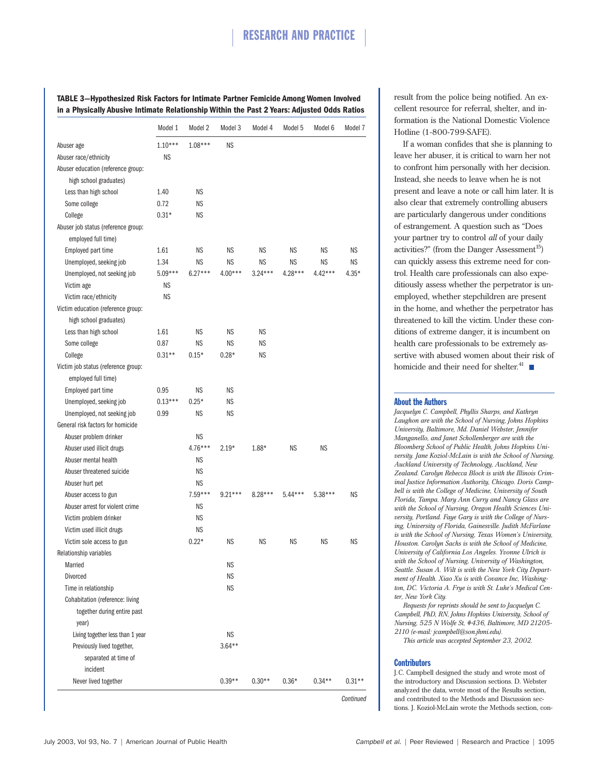### **TABLE 3—Hypothesized Risk Factors for Intimate Partner Femicide Among Women Involved in a Physically Abusive Intimate Relationship Within the Past 2 Years: Adjusted Odds Ratios**

|                                                            | Model 1   | Model 2   | Model 3   | Model 4   | Model 5   | Model 6   | Model 7   |
|------------------------------------------------------------|-----------|-----------|-----------|-----------|-----------|-----------|-----------|
| Abuser age                                                 | $1.10***$ | $1.08***$ | <b>NS</b> |           |           |           |           |
| Abuser race/ethnicity                                      | ΝS        |           |           |           |           |           |           |
| Abuser education (reference group:                         |           |           |           |           |           |           |           |
| high school graduates)                                     |           |           |           |           |           |           |           |
| Less than high school                                      | 1.40      | ΝS        |           |           |           |           |           |
| Some college                                               | 0.72      | <b>NS</b> |           |           |           |           |           |
| College                                                    | $0.31*$   | <b>NS</b> |           |           |           |           |           |
| Abuser job status (reference group:                        |           |           |           |           |           |           |           |
| employed full time)                                        |           |           |           |           |           |           |           |
| Employed part time                                         | 1.61      | <b>NS</b> | <b>NS</b> | <b>NS</b> | ΝS        | <b>NS</b> | <b>NS</b> |
| Unemployed, seeking job                                    | 1.34      | ΝS        | <b>NS</b> | <b>NS</b> | ΝS        | <b>NS</b> | <b>NS</b> |
| Unemployed, not seeking job                                | $5.09***$ | $6.27***$ | 4.00***   | $3.24***$ | 4.28***   | 4.42***   | $4.35*$   |
| Victim age                                                 | ΝS        |           |           |           |           |           |           |
| Victim race/ethnicity                                      | ΝS        |           |           |           |           |           |           |
| Victim education (reference group:                         |           |           |           |           |           |           |           |
| high school graduates)                                     |           |           |           |           |           |           |           |
| Less than high school                                      | 1.61      | <b>NS</b> | ΝS        | ΝS        |           |           |           |
| Some college                                               | 0.87      | <b>NS</b> | ΝS        | <b>NS</b> |           |           |           |
| College                                                    | $0.31**$  | $0.15*$   | $0.28*$   | <b>NS</b> |           |           |           |
| Victim job status (reference group:<br>employed full time) |           |           |           |           |           |           |           |
| Employed part time                                         | 0.95      | <b>NS</b> | <b>NS</b> |           |           |           |           |
| Unemployed, seeking job                                    | $0.13***$ | $0.25*$   | <b>NS</b> |           |           |           |           |
| Unemployed, not seeking job                                | 0.99      | NS        | ΝS        |           |           |           |           |
| General risk factors for homicide                          |           |           |           |           |           |           |           |
| Abuser problem drinker                                     |           | ΝS        |           |           |           |           |           |
| Abuser used illicit drugs                                  |           | 4.76***   | $2.19*$   | 1.88*     | <b>NS</b> | <b>NS</b> |           |
| Abuser mental health                                       |           | ΝS        |           |           |           |           |           |
| Abuser threatened suicide                                  |           | <b>NS</b> |           |           |           |           |           |
| Abuser hurt pet                                            |           | <b>NS</b> |           |           |           |           |           |
| Abuser access to gun                                       |           | 7.59 ***  | $9.21***$ | 8.28 ***  | 5.44***   | 5.38***   | <b>NS</b> |
| Abuser arrest for violent crime                            |           | ΝS        |           |           |           |           |           |
| Victim problem drinker                                     |           | ΝS        |           |           |           |           |           |
| Victim used illicit drugs                                  |           | ΝS        |           |           |           |           |           |
| Victim sole access to gun                                  |           | $0.22*$   | ΝS        | ΝS        | ΝS        | ΝS        | ΝS        |
| Relationship variables                                     |           |           |           |           |           |           |           |
| Married                                                    |           |           | ΝS        |           |           |           |           |
| Divorced                                                   |           |           | <b>NS</b> |           |           |           |           |
| Time in relationship                                       |           |           | <b>NS</b> |           |           |           |           |
| Cohabitation (reference: living                            |           |           |           |           |           |           |           |
| together during entire past                                |           |           |           |           |           |           |           |
| year)                                                      |           |           |           |           |           |           |           |
| Living together less than 1 year                           |           |           | <b>NS</b> |           |           |           |           |
| Previously lived together,                                 |           |           | $3.64**$  |           |           |           |           |
| separated at time of                                       |           |           |           |           |           |           |           |
| incident                                                   |           |           |           |           |           |           |           |
| Never lived together                                       |           |           | $0.39**$  | $0.30**$  | $0.36*$   | $0.34**$  | $0.31**$  |
|                                                            |           |           |           |           |           |           | Continued |

result from the police being notified. An excellent resource for referral, shelter, and information is the National Domestic Violence Hotline (1-800-799-SAFE).

If a woman confides that she is planning to leave her abuser, it is critical to warn her not to confront him personally with her decision. Instead, she needs to leave when he is not present and leave a note or call him later. It is also clear that extremely controlling abusers are particularly dangerous under conditions of estrangement. A question such as "Does your partner try to control *all* of your daily activities?" (from the Danger Assessment $^{15}$ ) can quickly assess this extreme need for control. Health care professionals can also expeditiously assess whether the perpetrator is unemployed, whether stepchildren are present in the home, and whether the perpetrator has threatened to kill the victim. Under these conditions of extreme danger, it is incumbent on health care professionals to be extremely assertive with abused women about their risk of homicide and their need for shelter.<sup>41</sup>

### About the Authors

*Jacquelyn C. Campbell, Phyllis Sharps, and Kathryn Laughon are with the School of Nursing, Johns Hopkins University, Baltimore, Md. Daniel Webster, Jennifer Manganello, and Janet Schollenberger are with the Bloomberg School of Public Health, Johns Hopkins University. Jane Koziol-McLain is with the School of Nursing, Auckland University of Technology, Auckland, New Zealand. Carolyn Rebecca Block is with the Illinois Criminal Justice Information Authority, Chicago. Doris Campbell is with the College of Medicine, University of South Florida, Tampa. Mary Ann Curry and Nancy Glass are with the School of Nursing, Oregon Health Sciences University, Portland. Faye Gary is with the College of Nursing, University of Florida, Gainesville. Judith McFarlane is with the School of Nursing, Texas Women's University, Houston. Carolyn Sachs is with the School of Medicine, University of California Los Angeles. Yvonne Ulrich is with the School of Nursing, University of Washington, Seattle. Susan A. Wilt is with the New York City Department of Health. Xiao Xu is with Covance Inc, Washington, DC. Victoria A. Frye is with St. Luke's Medical Center, New York City.*

*Requests for reprints should be sent to Jacquelyn C. Campbell, PhD, RN, Johns Hopkins University, School of Nursing, 525 N Wolfe St, #436, Baltimore, MD 21205- 2110 (e-mail: jcampbell@son.jhmi.edu).*

*This article was accepted September 23, 2002.*

#### **Contributors**

J.C. Campbell designed the study and wrote most of the introductory and Discussion sections. D. Webster analyzed the data, wrote most of the Results section, and contributed to the Methods and Discussion sections. J. Koziol-McLain wrote the Methods section, con-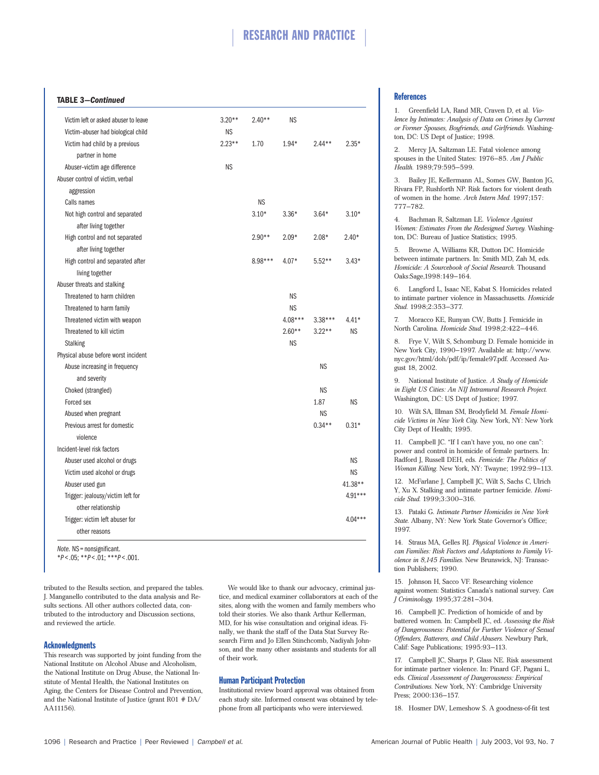### **TABLE 3—***Continued*

| Victim left or asked abuser to leave | $3.20**$  | $2.40**$  | <b>NS</b> |           |           |
|--------------------------------------|-----------|-----------|-----------|-----------|-----------|
| Victim-abuser had biological child   | <b>NS</b> |           |           |           |           |
| Victim had child by a previous       | $2.23**$  | 1.70      | $1.94*$   | $2.44**$  | $2.35*$   |
| partner in home                      |           |           |           |           |           |
| Abuser-victim age difference         | <b>NS</b> |           |           |           |           |
| Abuser control of victim, verbal     |           |           |           |           |           |
| aggression                           |           |           |           |           |           |
| Calls names                          |           | <b>NS</b> |           |           |           |
| Not high control and separated       |           | $3.10*$   | $3.36*$   | $3.64*$   | $3.10*$   |
| after living together                |           |           |           |           |           |
| High control and not separated       |           | $2.90**$  | $2.09*$   | $2.08*$   | $2.40*$   |
| after living together                |           |           |           |           |           |
| High control and separated after     |           | 8.98 ***  | $4.07*$   | $5.52**$  | $3.43*$   |
| living together                      |           |           |           |           |           |
| Abuser threats and stalking          |           |           |           |           |           |
| Threatened to harm children          |           |           | <b>NS</b> |           |           |
| Threatened to harm family            |           |           | <b>NS</b> |           |           |
| Threatened victim with weapon        |           |           | 4.08***   | $3.38***$ | $4.41*$   |
| Threatened to kill victim            |           |           | $2.60**$  | $3.22**$  | <b>NS</b> |
| <b>Stalking</b>                      |           |           | <b>NS</b> |           |           |
| Physical abuse before worst incident |           |           |           |           |           |
| Abuse increasing in frequency        |           |           |           | <b>NS</b> |           |
| and severity                         |           |           |           |           |           |
| Choked (strangled)                   |           |           |           | <b>NS</b> |           |
| Forced sex                           |           |           |           | 1.87      | <b>NS</b> |
| Abused when pregnant                 |           |           |           | <b>NS</b> |           |
| Previous arrest for domestic         |           |           |           | $0.34**$  | $0.31*$   |
| violence                             |           |           |           |           |           |
| Incident-level risk factors          |           |           |           |           |           |
| Abuser used alcohol or drugs         |           |           |           |           | <b>NS</b> |
| Victim used alcohol or drugs         |           |           |           |           | ΝS        |
| Abuser used gun                      |           |           |           |           | 41.38**   |
| Trigger: jealousy/victim left for    |           |           |           |           | $4.91***$ |
| other relationship                   |           |           |           |           |           |
| Trigger: victim left abuser for      |           |           |           |           | $4.04***$ |
| other reasons                        |           |           |           |           |           |

\**P* < .05; \*\**P* < .01; \*\*\**P* < .001.

tributed to the Results section, and prepared the tables. J. Manganello contributed to the data analysis and Results sections. All other authors collected data, contributed to the introductory and Discussion sections, and reviewed the article.

### **Acknowledgments**

This research was supported by joint funding from the National Institute on Alcohol Abuse and Alcoholism, the National Institute on Drug Abuse, the National Institute of Mental Health, the National Institutes on Aging, the Centers for Disease Control and Prevention, and the National Institute of Justice (grant R01 # DA/ AA11156).

We would like to thank our advocacy, criminal justice, and medical examiner collaborators at each of the sites, along with the women and family members who told their stories. We also thank Arthur Kellerman, MD, for his wise consultation and original ideas. Finally, we thank the staff of the Data Stat Survey Research Firm and Jo Ellen Stinchcomb, Nadiyah Johnson, and the many other assistants and students for all of their work.

#### Human Participant Protection

Institutional review board approval was obtained from each study site. Informed consent was obtained by telephone from all participants who were interviewed.

### **References**

1. Greenfield LA, Rand MR, Craven D, et al. *Violence by Intimates: Analysis of Data on Crimes by Current or Former Spouses, Boyfriends, and Girlfriends.* Washington, DC: US Dept of Justice; 1998.

2. Mercy JA, Saltzman LE. Fatal violence among spouses in the United States: 1976–85. *Am J Public Health.* 1989;79:595–599.

3. Bailey JE, Kellermann AL, Somes GW, Banton JG, Rivara FP, Rushforth NP. Risk factors for violent death of women in the home. *Arch Intern Med.* 1997;157: 777–782.

4. Bachman R, Saltzman LE. *Violence Against Women: Estimates From the Redesigned Survey.* Washington, DC: Bureau of Justice Statistics; 1995.

5. Browne A, Williams KR, Dutton DC. Homicide between intimate partners. In: Smith MD, Zah M, eds. *Homicide: A Sourcebook of Social Research*. Thousand Oaks:Sage,1998:149–164.

6. Langford L, Isaac NE, Kabat S. Homicides related to intimate partner violence in Massachusetts. *Homicide Stud.* 1998;2:353–377.

7. Moracco KE, Runyan CW, Butts J. Femicide in North Carolina. *Homicide Stud.* 1998;2:422–446.

8. Frye V, Wilt S, Schomburg D. Female homicide in New York City, 1990–1997. Available at: http://www. nyc.gov/html/doh/pdf/ip/female97.pdf. Accessed August 18, 2002.

9. National Institute of Justice. *A Study of Homicide in Eight US Cities: An NIJ Intramural Research Project.* Washington, DC: US Dept of Justice; 1997.

10. Wilt SA, Illman SM, Brodyfield M. *Female Homicide Victims in New York City.* New York, NY: New York City Dept of Health; 1995.

11. Campbell JC. "If I can't have you, no one can": power and control in homicide of female partners. In: Radford J, Russell DEH, eds. *Femicide: The Politics of Woman Killing.* New York, NY: Twayne; 1992:99–113.

12. McFarlane J, Campbell JC, Wilt S, Sachs C, Ulrich Y, Xu X. Stalking and intimate partner femicide. *Homicide Stud.* 1999;3:300–316.

13. Pataki G. *Intimate Partner Homicides in New York State.* Albany, NY: New York State Governor's Office; 1997.

14. Straus MA, Gelles RJ. *Physical Violence in American Families: Risk Factors and Adaptations to Family Violence in 8,145 Families.* New Brunswick, NJ: Transaction Publishers; 1990.

15. Johnson H, Sacco VF. Researching violence against women: Statistics Canada's national survey. *Can J Criminology.* 1995;37:281–304.

16. Campbell JC. Prediction of homicide of and by battered women. In: Campbell JC, ed. *Assessing the Risk of Dangerousness: Potential for Further Violence of Sexual Offenders, Batterers, and Child Abusers.* Newbury Park, Calif: Sage Publications; 1995:93–113.

17. Campbell JC, Sharps P, Glass NE. Risk assessment for intimate partner violence. In: Pinard GF, Pagani L, eds. *Clinical Assessment of Dangerousness: Empirical Contributions.* New York, NY: Cambridge University Press; 2000:136–157.

18. Hosmer DW, Lemeshow S. A goodness-of-fit test